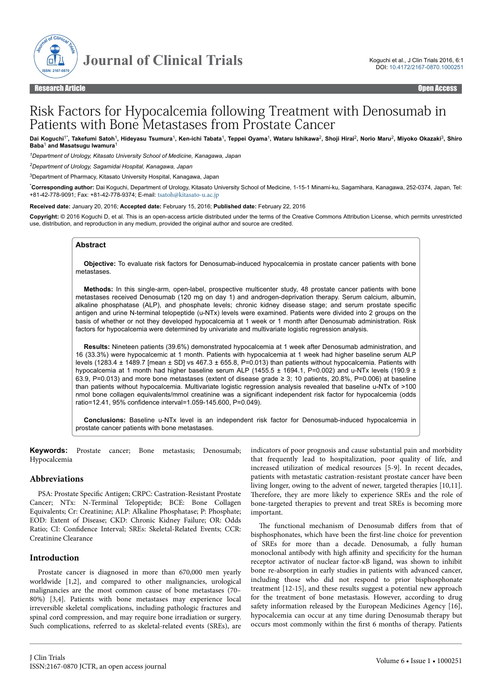

# Risk Factors for Hypocalcemia following Treatment with Denosumab in Patients with Bone Metastases from Prostate Cancer

Dai Koguchi<sup>1\*</sup>, Takefumi Satoh<sup>1</sup>, Hideyasu Tsumura<sup>1</sup>, Ken-ichi Tabata<sup>1</sup>, Teppei Oyama<sup>1</sup>, Wataru Ishikawa<sup>2</sup>, Shoji Hirai<sup>2</sup>, Norio Maru<sup>2</sup>, Miyoko Okazaki<sup>3</sup>, Shiro **Baba**<sup>1</sup>  **and Masatsugu Iwamura**<sup>1</sup>

*<sup>1</sup>Department of Urology, Kitasato University School of Medicine, Kanagawa, Japan*

*<sup>2</sup>Department of Urology, Sagamidai Hospital, Kanagawa, Japan*

<sup>3</sup>Department of Pharmacy, Kitasato University Hospital, Kanagawa, Japan

\***Corresponding author:** Dai Koguchi, Department of Urology, Kitasato University School of Medicine, 1-15-1 Minami-ku, Sagamihara, Kanagawa, 252-0374, Japan, Tel: +81-42-778-9091; Fax: +81-42-778-9374; E-mail: [tsatoh@kitasato-u.ac.jp](mailto:tsatoh@kitasato-u.ac.jp)

**Received date:** January 20, 2016; **Accepted date:** February 15, 2016; **Published date:** February 22, 2016

**Copyright:** © 2016 Koguchi D, et al. This is an open-access article distributed under the terms of the Creative Commons Attribution License, which permits unrestricted use, distribution, and reproduction in any medium, provided the original author and source are credited.

#### **Abstract**

**Objective:** To evaluate risk factors for Denosumab-induced hypocalcemia in prostate cancer patients with bone metastases.

**Methods:** In this single-arm, open-label, prospective multicenter study, 48 prostate cancer patients with bone metastases received Denosumab (120 mg on day 1) and androgen-deprivation therapy. Serum calcium, albumin, alkaline phosphatase (ALP), and phosphate levels; chronic kidney disease stage; and serum prostate specific antigen and urine N-terminal telopeptide (u-NTx) levels were examined. Patients were divided into 2 groups on the basis of whether or not they developed hypocalcemia at 1 week or 1 month after Denosumab administration. Risk factors for hypocalcemia were determined by univariate and multivariate logistic regression analysis.

**Results:** Nineteen patients (39.6%) demonstrated hypocalcemia at 1 week after Denosumab administration, and 16 (33.3%) were hypocalcemic at 1 month. Patients with hypocalcemia at 1 week had higher baseline serum ALP levels (1283.4 ± 1489.7 [mean ± SD] vs 467.3 ± 655.8, P=0.013) than patients without hypocalcemia. Patients with hypocalcemia at 1 month had higher baseline serum ALP (1455.5  $\pm$  1694.1, P=0.002) and u-NTx levels (190.9  $\pm$ 63.9, P=0.013) and more bone metastases (extent of disease grade ≥ 3; 10 patients, 20.8%, P=0.006) at baseline than patients without hypocalcemia. Multivariate logistic regression analysis revealed that baseline u-NTx of >100 nmol bone collagen equivalents/mmol creatinine was a significant independent risk factor for hypocalcemia (odds ratio=12.41, 95% confidence interval=1.059-145.600, P=0.049).

**Conclusions:** Baseline u-NTx level is an independent risk factor for Denosumab-induced hypocalcemia in prostate cancer patients with bone metastases.

**Keywords:** Prostate cancer; Bone metastasis; Denosumab; Hypocalcemia

#### **Abbreviations**

PSA: Prostate Specific Antigen; CRPC: Castration-Resistant Prostate Cancer; NTx: N-Terminal Telopeptide; BCE: Bone Collagen Equivalents; Cr: Creatinine; ALP: Alkaline Phosphatase; P: Phosphate; EOD: Extent of Disease; CKD: Chronic Kidney Failure; OR: Odds Ratio; CI: Confidence Interval; SREs: Skeletal-Related Events; CCR: Creatinine Clearance

# **Introduction**

Prostate cancer is diagnosed in more than 670,000 men yearly worldwide [1,2], and compared to other malignancies, urological malignancies are the most common cause of bone metastases (70– 80%) [3,4]. Patients with bone metastases may experience local irreversible skeletal complications, including pathologic fractures and spinal cord compression, and may require bone irradiation or surgery. Such complications, referred to as skeletal-related events (SREs), are

J Clin Trials ISSN:2167-0870 JCTR, an open access journal indicators of poor prognosis and cause substantial pain and morbidity that frequently lead to hospitalization, poor quality of life, and increased utilization of medical resources [5-9]. In recent decades, patients with metastatic castration-resistant prostate cancer have been living longer, owing to the advent of newer, targeted therapies [10,11]. Нerefore, they are more likely to experience SREs and the role of bone-targeted therapies to prevent and treat SREs is becoming more important.

The functional mechanism of Denosumab differs from that of bisphosphonates, which have been the first-line choice for prevention of SREs for more than a decade. Denosumab, a fully human monoclonal antibody with high affinity and specificity for the human receptor activator of nuclear factor-κB ligand, was shown to inhibit bone re-absorption in early studies in patients with advanced cancer, including those who did not respond to prior bisphosphonate treatment [12-15], and these results suggest a potential new approach for the treatment of bone metastasis. However, according to drug safety information released by the European Medicines Agency [16], hypocalcemia can occur at any time during Denosumab therapy but occurs most commonly within the first 6 months of therapy. Patients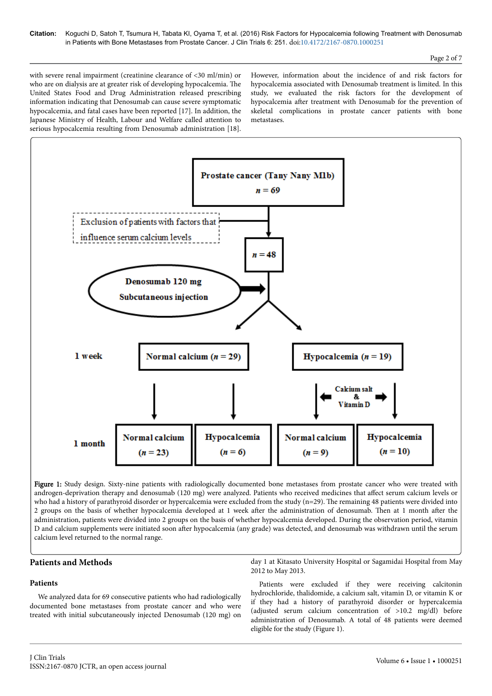with severe renal impairment (creatinine clearance of <30 ml/min) or who are on dialysis are at greater risk of developing hypocalcemia. Нe United States Food and Drug Administration released prescribing information indicating that Denosumab can cause severe symptomatic hypocalcemia, and fatal cases have been reported [17]. In addition, the Japanese Ministry of Health, Labour and Welfare called attention to serious hypocalcemia resulting from Denosumab administration [18].

However, information about the incidence of and risk factors for hypocalcemia associated with Denosumab treatment is limited. In this study, we evaluated the risk factors for the development of hypocalcemia after treatment with Denosumab for the prevention of skeletal complications in prostate cancer patients with bone metastases.



Figure 1: Study design. Sixty-nine patients with radiologically documented bone metastases from prostate cancer who were treated with androgen-deprivation therapy and denosumab (120 mg) were analyzed. Patients who received medicines that affect serum calcium levels or who had a history of parathyroid disorder or hypercalcemia were excluded from the study (n=29). The remaining 48 patients were divided into 2 groups on the basis of whether hypocalcemia developed at 1 week after the administration of denosumab. Then at 1 month after the administration, patients were divided into 2 groups on the basis of whether hypocalcemia developed. During the observation period, vitamin D and calcium supplements were initiated soon after hypocalcemia (any grade) was detected, and denosumab was withdrawn until the serum calcium level returned to the normal range.

## **Patients and Methods**

## **Patients**

We analyzed data for 69 consecutive patients who had radiologically documented bone metastases from prostate cancer and who were treated with initial subcutaneously injected Denosumab (120 mg) on

day 1 at Kitasato University Hospital or Sagamidai Hospital from May 2012 to May 2013.

Patients were excluded if they were receiving calcitonin hydrochloride, thalidomide, a calcium salt, vitamin D, or vitamin K or if they had a history of parathyroid disorder or hypercalcemia (adjusted serum calcium concentration of >10.2 mg/dl) before administration of Denosumab. A total of 48 patients were deemed eligible for the study (Figure 1).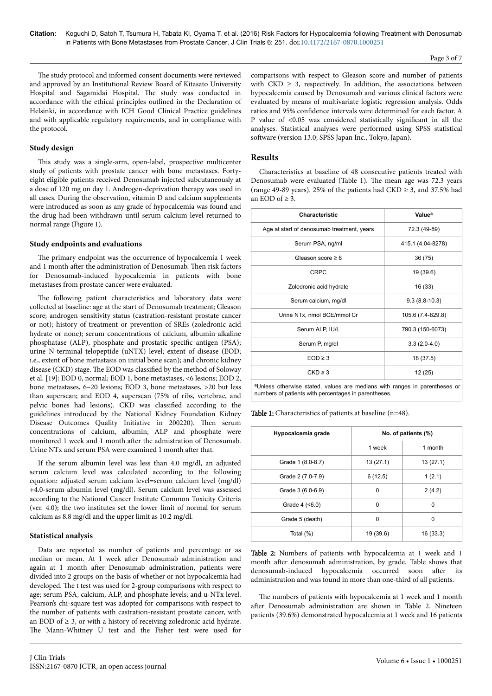The study protocol and informed consent documents were reviewed and approved by an Institutional Review Board of Kitasato University Hospital and Sagamidai Hospital. The study was conducted in accordance with the ethical principles outlined in the Declaration of Helsinki, in accordance with ICH Good Clinical Practice guidelines and with applicable regulatory requirements, and in compliance with the protocol.

#### **Study design**

This study was a single-arm, open-label, prospective multicenter study of patients with prostate cancer with bone metastases. Fortyeight eligible patients received Denosumab injected subcutaneously at a dose of 120 mg on day 1. Androgen-deprivation therapy was used in all cases. During the observation, vitamin D and calcium supplements were introduced as soon as any grade of hypocalcemia was found and the drug had been withdrawn until serum calcium level returned to normal range (Figure 1).

#### **Study endpoints and evaluations**

The primary endpoint was the occurrence of hypocalcemia 1 week and 1 month after the administration of Denosumab. Then risk factors for Denosumab-induced hypocalcemia in patients with bone metastases from prostate cancer were evaluated.

The following patient characteristics and laboratory data were collected at baseline: age at the start of Denosumab treatment; Gleason score; androgen sensitivity status (castration-resistant prostate cancer or not); history of treatment or prevention of SREs (zoledronic acid hydrate or none); serum concentrations of calcium, albumin alkaline phosphatase (ALP), phosphate and prostatic specific antigen (PSA); urine N-terminal telopeptide (uNTX) level; extent of disease (EOD; i.e., extent of bone metastasis on initial bone scan); and chronic kidney disease (CKD) stage. The EOD was classified by the method of Soloway et al. [19]: EOD 0, normal; EOD 1, bone metastases, <6 lesions; EOD 2, bone metastases, 6–20 lesions; EOD 3, bone metastases, >20 but less than superscan; and EOD 4, superscan (75% of ribs, vertebrae, and pelvic bones had lesions). CKD was classified according to the guidelines introduced by the National Kidney Foundation Kidney Disease Outcomes Quality Initiative in 200220). Нen serum concentrations of calcium, albumin, ALP and phosphate were monitored 1 week and 1 month after the admistration of Denosumab. Urine NTx and serum PSA were examined 1 month after that.

If the serum albumin level was less than 4.0 mg/dl, an adjusted serum calcium level was calculated according to the following equation: adjusted serum calcium level=serum calcium level (mg/dl) +4.0-serum albumin level (mg/dl). Serum calcium level was assessed according to the National Cancer Institute Common Toxicity Criteria (ver. 4.0); the two institutes set the lower limit of normal for serum calcium as 8.8 mg/dl and the upper limit as 10.2 mg/dl.

## **Statistical analysis**

Data are reported as number of patients and percentage or as median or mean. At 1 week after Denosumab administration and again at 1 month after Denosumab administration, patients were divided into 2 groups on the basis of whether or not hypocalcemia had developed. Нe t test was used for 2-group comparisons with respect to age; serum PSA, calcium, ALP, and phosphate levels; and u-NTx level. Pearson's chi-square test was adopted for comparisons with respect to the number of patients with castration-resistant prostate cancer, with an EOD of  $\geq$  3, or with a history of receiving zoledronic acid hydrate. The Mann-Whitney U test and the Fisher test were used for

comparisons with respect to Gleason score and number of patients with  $CKD \geq 3$ , respectively. In addition, the associations between hypocalcemia caused by Denosumab and various clinical factors were evaluated by means of multivariate logistic regression analysis. Odds ratios and 95% confidence intervals were determined for each factor. A P value of <0.05 was considered statistically significant in all the analyses. Statistical analyses were performed using SPSS statistical software (version 13.0; SPSS Japan Inc., Tokyo, Japan).

# **Results**

Characteristics at baseline of 48 consecutive patients treated with Denosumab were evaluated (Table 1). Нe mean age was 72.3 years (range 49-89 years). 25% of the patients had CKD  $\geq$  3, and 37.5% had an  $FOD$  of  $> 3$ .

| Characteristic                                                                         | Value <sup>a</sup> |  |  |  |  |
|----------------------------------------------------------------------------------------|--------------------|--|--|--|--|
| Age at start of denosumab treatment, years                                             | 72.3 (49-89)       |  |  |  |  |
| Serum PSA, ng/ml                                                                       | 415.1 (4.04-8278)  |  |  |  |  |
| Gleason score $\geq 8$                                                                 | 36 (75)            |  |  |  |  |
| <b>CRPC</b>                                                                            | 19 (39.6)          |  |  |  |  |
| Zoledronic acid hydrate                                                                | 16 (33)            |  |  |  |  |
| Serum calcium, mg/dl                                                                   | $9.3(8.8-10.3)$    |  |  |  |  |
| Urine NTx, nmol BCE/mmol Cr                                                            | 105.6 (7.4-829.8)  |  |  |  |  |
| Serum ALP, IU/L                                                                        | 790.3 (150-6073)   |  |  |  |  |
| Serum P, mg/dl                                                                         | $3.3(2.0-4.0)$     |  |  |  |  |
| $EOD \geq 3$                                                                           | 18 (37.5)          |  |  |  |  |
| $CKD \geq 3$                                                                           | 12(25)             |  |  |  |  |
| <sup>a</sup> Unless otherwise stated, values are medians with ranges in parentheses or |                    |  |  |  |  |

numbers of patients with percentages in parentheses.

| Hypocalcemia grade  | No. of patients (%) |           |  |  |  |
|---------------------|---------------------|-----------|--|--|--|
|                     | 1 week              | 1 month   |  |  |  |
| Grade 1 (8.0-8.7)   | 13(27.1)            | 13(27.1)  |  |  |  |
| Grade 2 (7.0-7.9)   | 6(12.5)             | 1(2.1)    |  |  |  |
| Grade 3 (6.0-6.9)   | 0                   | 2(4.2)    |  |  |  |
| Grade $4$ ( $5.0$ ) | 0                   | 0         |  |  |  |
| Grade 5 (death)     | 0                   | 0         |  |  |  |
| Total (%)           | 19 (39.6)           | 16 (33.3) |  |  |  |

Table 2: Numbers of patients with hypocalcemia at 1 week and 1 month after denosumab administration, by grade. Table shows that denosumab-induced hypocalcemia occurred soon after its administration and was found in more than one-third of all patients.

The numbers of patients with hypocalcemia at 1 week and 1 month after Denosumab administration are shown in Table 2. Nineteen patients (39.6%) demonstrated hypocalcemia at 1 week and 16 patients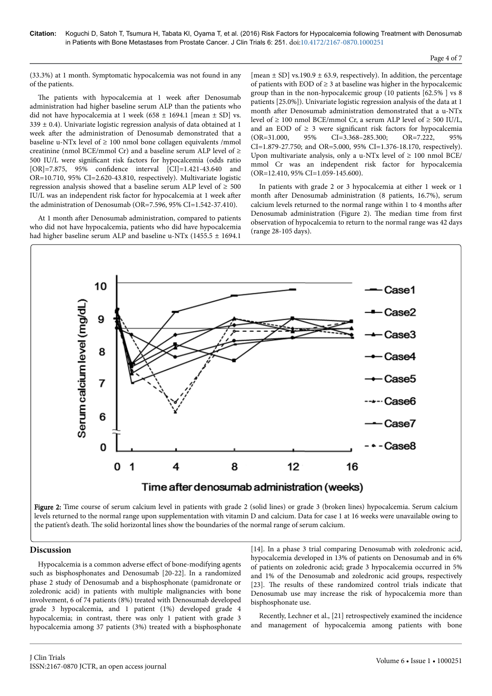(33.3%) at 1 month. Symptomatic hypocalcemia was not found in any of the patients.

The patients with hypocalcemia at 1 week after Denosumab administration had higher baseline serum ALP than the patients who did not have hypocalcemia at 1 week (658  $\pm$  1694.1 [mean  $\pm$  SD] vs.  $339 \pm 0.4$ ). Univariate logistic regression analysis of data obtained at 1 week after the administration of Denosumab demonstrated that a baseline u-NTx level of  $\geq 100$  nmol bone collagen equivalents /mmol creatinine (nmol BCE/mmol Cr) and a baseline serum ALP level of  $\geq$ 500 IU/L were significant risk factors for hypocalcemia (odds ratio [OR]=7.875, 95% confidence interval [CI]=1.421-43.640 and OR=10.710, 95% CI=2.620-43.810, respectively). Multivariate logistic regression analysis showed that a baseline serum ALP level of  $\geq 500$ IU/L was an independent risk factor for hypocalcemia at 1 week after the administration of Denosumab (OR=7.596, 95% CI=1.542-37.410).

At 1 month after Denosumab administration, compared to patients who did not have hypocalcemia, patients who did have hypocalcemia had higher baseline serum ALP and baseline u-NTx (1455.5 ± 1694.1

[mean  $\pm$  SD] vs.190.9  $\pm$  63.9, respectively). In addition, the percentage of patients with EOD of  $\geq$  3 at baseline was higher in the hypocalcemic group than in the non-hypocalcemic group (10 patients [62.5% ] vs 8 patients [25.0%]). Univariate logistic regression analysis of the data at 1 month after Denosumab administration demonstrated that a u-NTx level of ≥ 100 nmol BCE/mmol Cr, a serum ALP level of ≥ 500 IU/L, and an EOD of  $\geq$  3 were significant risk factors for hypocalcemia (OR=31.000, 95% CI=3.368–285.300; OR=7.222, 95% CI=1.879-27.750; and OR=5.000, 95% CI=1.376-18.170, respectively). Upon multivariate analysis, only a u-NTx level of  $\geq 100$  nmol BCE/ mmol Cr was an independent risk factor for hypocalcemia (OR=12.410, 95% CI=1.059-145.600).

In patients with grade 2 or 3 hypocalcemia at either 1 week or 1 month after Denosumab administration (8 patients, 16.7%), serum calcium levels returned to the normal range within 1 to 4 months after Denosumab administration (Figure 2). Нe median time from first observation of hypocalcemia to return to the normal range was 42 days (range 28-105 days).



Figure 2: Time course of serum calcium level in patients with grade 2 (solid lines) or grade 3 (broken lines) hypocalcemia. Serum calcium levels returned to the normal range upon supplementation with vitamin D and calcium. Data for case 1 at 16 weeks were unavailable owing to the patient's death. Нe solid horizontal lines show the boundaries of the normal range of serum calcium.

## **Discussion**

Hypocalcemia is a common adverse effect of bone-modifying agents such as bisphosphonates and Denosumab [20-22]. In a randomized phase 2 study of Denosumab and a bisphosphonate (pamidronate or zoledronic acid) in patients with multiple malignancies with bone involvement, 6 of 74 patients (8%) treated with Denosumab developed grade 3 hypocalcemia, and 1 patient (1%) developed grade 4 hypocalcemia; in contrast, there was only 1 patient with grade 3 hypocalcemia among 37 patients (3%) treated with a bisphosphonate [14]. In a phase 3 trial comparing Denosumab with zoledronic acid, hypocalcemia developed in 13% of patients on Denosumab and in 6% of patients on zoledronic acid; grade 3 hypocalcemia occurred in 5% and 1% of the Denosumab and zoledronic acid groups, respectively [23]. The results of these randomized control trials indicate that Denosumab use may increase the risk of hypocalcemia more than bisphosphonate use.

Recently, Lechner et al., [21] retrospectively examined the incidence and management of hypocalcemia among patients with bone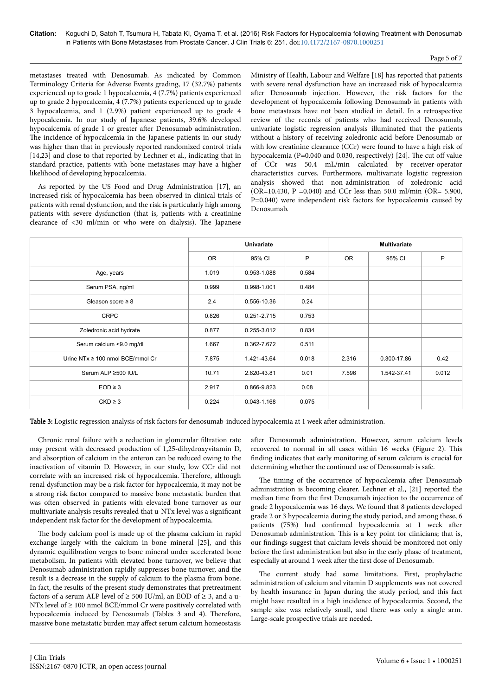## Page 5 of 7

metastases treated with Denosumab. As indicated by Common Terminology Criteria for Adverse Events grading, 17 (32.7%) patients experienced up to grade 1 hypocalcemia, 4 (7.7%) patients experienced up to grade 2 hypocalcemia, 4 (7.7%) patients experienced up to grade 3 hypocalcemia, and 1 (2.9%) patient experienced up to grade 4 hypocalcemia. In our study of Japanese patients, 39.6% developed hypocalcemia of grade 1 or greater after Denosumab administration. The incidence of hypocalcemia in the Japanese patients in our study was higher than that in previously reported randomized control trials [14,23] and close to that reported by Lechner et al., indicating that in standard practice, patients with bone metastases may have a higher likelihood of developing hypocalcemia.

As reported by the US Food and Drug Administration [17], an increased risk of hypocalcemia has been observed in clinical trials of patients with renal dysfunction, and the risk is particularly high among patients with severe dysfunction (that is, patients with a creatinine clearance of <30 ml/min or who were on dialysis). Нe Japanese

Ministry of Health, Labour and Welfare [18] has reported that patients with severe renal dysfunction have an increased risk of hypocalcemia after Denosumab injection. However, the risk factors for the development of hypocalcemia following Denosumab in patients with bone metastases have not been studied in detail. In a retrospective review of the records of patients who had received Denosumab, univariate logistic regression analysis illuminated that the patients without a history of receiving zoledronic acid before Denosumab or with low creatinine clearance (CCr) were found to have a high risk of hypocalcemia (P=0.040 and 0.030, respectively) [24]. The cut off value of CCr was 50.4 mL/min calculated by receiver-operator characteristics curves. Furthermore, multivariate logistic regression analysis showed that non-administration of zoledronic acid (OR=10.430, P =0.040) and CCr less than 50.0 ml/min (OR= 5.900, P=0.040) were independent risk factors for hypocalcemia caused by Denosumab.

|                                       | <b>Univariate</b> |             |       | <b>Multivariate</b> |             |       |
|---------------------------------------|-------------------|-------------|-------|---------------------|-------------|-------|
|                                       | OR                | 95% CI      | P     | OR.                 | 95% CI      | P     |
| Age, years                            | 1.019             | 0.953-1.088 | 0.584 |                     |             |       |
| Serum PSA, ng/ml                      | 0.999             | 0.998-1.001 | 0.484 |                     |             |       |
| Gleason score $\geq 8$                | 2.4               | 0.556-10.36 | 0.24  |                     |             |       |
| <b>CRPC</b>                           | 0.826             | 0.251-2.715 | 0.753 |                     |             |       |
| Zoledronic acid hydrate               | 0.877             | 0.255-3.012 | 0.834 |                     |             |       |
| Serum calcium <9.0 mg/dl              | 1.667             | 0.362-7.672 | 0.511 |                     |             |       |
| Urine NT $x \ge 100$ nmol BCE/mmol Cr | 7.875             | 1.421-43.64 | 0.018 | 2.316               | 0.300-17.86 | 0.42  |
| Serum ALP ≥500 IU/L                   | 10.71             | 2.620-43.81 | 0.01  | 7.596               | 1.542-37.41 | 0.012 |
| $EOD \geq 3$                          | 2.917             | 0.866-9.823 | 0.08  |                     |             |       |
| $CKD \geq 3$                          | 0.224             | 0.043-1.168 | 0.075 |                     |             |       |

Table 3: Logistic regression analysis of risk factors for denosumab-induced hypocalcemia at 1 week after administration.

Chronic renal failure with a reduction in glomerular filtration rate may present with decreased production of 1,25-dihydroxyvitamin D, and absorption of calcium in the enteron can be reduced owing to the inactivation of vitamin D. However, in our study, low CCr did not correlate with an increased risk of hypocalcemia. Нerefore, although renal dysfunction may be a risk factor for hypocalcemia, it may not be a strong risk factor compared to massive bone metastatic burden that was often observed in patients with elevated bone turnover as our multivariate analysis results revealed that u-NTx level was a significant independent risk factor for the development of hypocalcemia.

The body calcium pool is made up of the plasma calcium in rapid exchange largely with the calcium in bone mineral [25], and this dynamic equilibration verges to bone mineral under accelerated bone metabolism. In patients with elevated bone turnover, we believe that Denosumab administration rapidly suppresses bone turnover, and the result is a decrease in the supply of calcium to the plasma from bone. In fact, the results of the present study demonstrates that pretreatment factors of a serum ALP level of  $\geq$  500 IU/ml, an EOD of  $\geq$  3, and a u-NTx level of  $\geq 100$  nmol BCE/mmol Cr were positively correlated with hypocalcemia induced by Denosumab (Tables 3 and 4). Therefore, massive bone metastatic burden may affect serum calcium homeostasis

after Denosumab administration. However, serum calcium levels recovered to normal in all cases within 16 weeks (Figure 2). This finding indicates that early monitoring of serum calcium is crucial for determining whether the continued use of Denosumab is safe.

The timing of the occurrence of hypocalcemia after Denosumab administration is becoming clearer. Lechner et al., [21] reported the median time from the first Denosumab injection to the occurrence of grade 2 hypocalcemia was 16 days. We found that 8 patients developed grade 2 or 3 hypocalcemia during the study period, and among these, 6 patients (75%) had confirmed hypocalcemia at 1 week after Denosumab administration. This is a key point for clinicians; that is, our findings suggest that calcium levels should be monitored not only before the first administration but also in the early phase of treatment, especially at around 1 week after the first dose of Denosumab.

The current study had some limitations. First, prophylactic administration of calcium and vitamin D supplements was not covered by health insurance in Japan during the study period, and this fact might have resulted in a high incidence of hypocalcemia. Second, the sample size was relatively small, and there was only a single arm. Large-scale prospective trials are needed.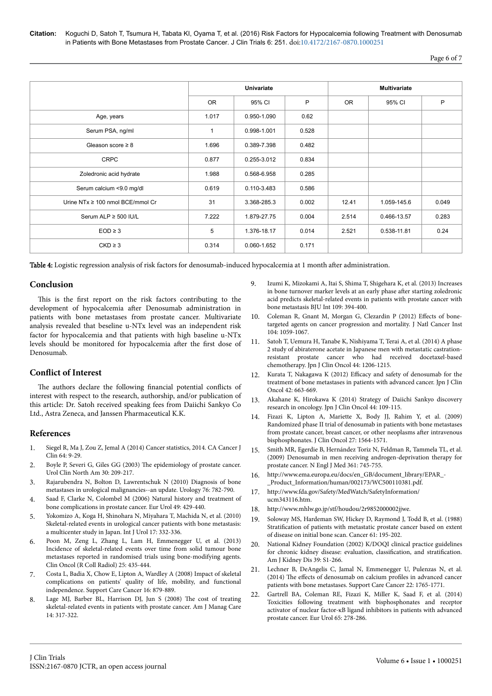Page 6 of 7

|                                       | <b>Univariate</b> |             |       | <b>Multivariate</b> |             |       |
|---------------------------------------|-------------------|-------------|-------|---------------------|-------------|-------|
|                                       | <b>OR</b>         | 95% CI      | P     | OR.                 | 95% CI      | P     |
| Age, years                            | 1.017             | 0.950-1.090 | 0.62  |                     |             |       |
| Serum PSA, ng/ml                      | 1                 | 0.998-1.001 | 0.528 |                     |             |       |
| Gleason score $\geq 8$                | 1.696             | 0.389-7.398 | 0.482 |                     |             |       |
| <b>CRPC</b>                           | 0.877             | 0.255-3.012 | 0.834 |                     |             |       |
| Zoledronic acid hydrate               | 1.988             | 0.568-6.958 | 0.285 |                     |             |       |
| Serum calcium <9.0 mg/dl              | 0.619             | 0.110-3.483 | 0.586 |                     |             |       |
| Urine NT $x \ge 100$ nmol BCE/mmol Cr | 31                | 3.368-285.3 | 0.002 | 12.41               | 1.059-145.6 | 0.049 |
| Serum ALP $\geq$ 500 IU/L             | 7.222             | 1.879-27.75 | 0.004 | 2.514               | 0.466-13.57 | 0.283 |
| $EOD \geq 3$                          | 5                 | 1.376-18.17 | 0.014 | 2.521               | 0.538-11.81 | 0.24  |
| $CKD \geq 3$                          | 0.314             | 0.060-1.652 | 0.171 |                     |             |       |

Table 4: Logistic regression analysis of risk factors for denosumab-induced hypocalcemia at 1 month after administration.

## **Conclusion**

This is the first report on the risk factors contributing to the development of hypocalcemia after Denosumab administration in patients with bone metastases from prostate cancer. Multivariate analysis revealed that beseline u-NTx level was an independent risk factor for hypocalcemia and that patients with high baseline u-NTx levels should be monitored for hypocalcemia after the first dose of Denosumab.

## **Conflict of Interest**

The authors declare the following financial potential conflicts of interest with respect to the research, authorship, and/or publication of this article: Dr. Satoh received speaking fees from Daiichi Sankyo Co Ltd., Astra Zeneca, and Janssen Pharmaceutical K.K.

## **References**

- 1. Siegel R, Ma J, Zou Z, Jemal A (2014) Cancer statistics, 2014. CA Cancer J Clin 64: 9-29.
- 2. [Boyle P, Severi G, Giles GG \(2003\)](http://www.ncbi.nlm.nih.gov/pubmed/12735498) Нe epidemiology of prostate cancer. [Urol Clin North Am 30: 209-217.](http://www.ncbi.nlm.nih.gov/pubmed/12735498)
- 3. [Rajarubendra N, Bolton D, Lawrentschuk N \(2010\) Diagnosis of bone](http://www.ncbi.nlm.nih.gov/pubmed/20346492) [metastases in urological malignancies--an update. Urology 76: 782-790.](http://www.ncbi.nlm.nih.gov/pubmed/20346492)
- 4. [Saad F, Clarke N, Colombel M \(2006\) Natural history and treatment of](http://www.ncbi.nlm.nih.gov/pubmed/16431012) [bone complications in prostate cancer. Eur Urol 49: 429-440.](http://www.ncbi.nlm.nih.gov/pubmed/16431012)
- 5. [Yokomizo A, Koga H, Shinohara N, Miyahara T, Machida N, et al. \(2010\)](http://www.ncbi.nlm.nih.gov/pubmed/20202004) [Skeletal-related events in urological cancer patients with bone metastasis:](http://www.ncbi.nlm.nih.gov/pubmed/20202004) [a multicenter study in Japan. Int J Urol 17: 332-336.](http://www.ncbi.nlm.nih.gov/pubmed/20202004)
- 6. [Poon M, Zeng L, Zhang L, Lam H, Emmenegger U, et al. \(2013\)](http://www.ncbi.nlm.nih.gov/pubmed/23582277) [Incidence of skeletal-related events over time from solid tumour bone](http://www.ncbi.nlm.nih.gov/pubmed/23582277) [metastases reported in randomised trials using bone-modifying agents.](http://www.ncbi.nlm.nih.gov/pubmed/23582277) [Clin Oncol \(R Coll Radiol\) 25: 435-444.](http://www.ncbi.nlm.nih.gov/pubmed/23582277)
- 7. [Costa L, Badia X, Chow E, Lipton A, Wardley A \(2008\) Impact of skeletal](http://www.ncbi.nlm.nih.gov/pubmed/18392862) [complications on patients' quality of life, mobility, and functional](http://www.ncbi.nlm.nih.gov/pubmed/18392862) [independence. Support Care Cancer 16: 879-889.](http://www.ncbi.nlm.nih.gov/pubmed/18392862)
- 8. [Lage MJ, Barber BL, Harrison DJ, Jun S \(2008\)](http://www.ncbi.nlm.nih.gov/pubmed/18471035) Нe cost of treating [skeletal-related events in patients with prostate cancer. Am J Manag Care](http://www.ncbi.nlm.nih.gov/pubmed/18471035) [14: 317-322.](http://www.ncbi.nlm.nih.gov/pubmed/18471035)
- 9. [Izumi K, Mizokami A, Itai S, Shima T, Shigehara K, et al. \(2013\) Increases](http://www.ncbi.nlm.nih.gov/pubmed/21599822) [in bone turnover marker levels at an early phase](http://www.ncbi.nlm.nih.gov/pubmed/21599822) after starting zoledronic [acid predicts skeletal-related events in patients with prostate cancer with](http://www.ncbi.nlm.nih.gov/pubmed/21599822) [bone metastasis BJU Int 109: 394-400.](http://www.ncbi.nlm.nih.gov/pubmed/21599822)
- 10. [Coleman R, Gnant M, Morgan G, Clezardin P \(2012\)](http://www.ncbi.nlm.nih.gov/pubmed/22752060) Effects of bone[targeted agents on cancer progression and mortality. J Natl Cancer Inst](http://www.ncbi.nlm.nih.gov/pubmed/22752060) [104: 1059-1067.](http://www.ncbi.nlm.nih.gov/pubmed/22752060)
- 11. [Satoh T, Uemura H, Tanabe K, Nishiyama T, Terai A, et al. \(2014\) A phase](http://www.ncbi.nlm.nih.gov/pubmed/25425730) [2 study of abiraterone acetate in Japanese men with metastatic castration](http://www.ncbi.nlm.nih.gov/pubmed/25425730)[resistant prostate cancer who had received docetaxel-based](http://www.ncbi.nlm.nih.gov/pubmed/25425730) [chemotherapy. Jpn J Clin Oncol 44: 1206-1215.](http://www.ncbi.nlm.nih.gov/pubmed/25425730)
- 12. Kurata T, Nakagawa K (2012) Efficacy [and safety of denosumab for the](http://www.ncbi.nlm.nih.gov/pubmed/22701037) [treatment of bone metastases in patients with advanced cancer. Jpn J Clin](http://www.ncbi.nlm.nih.gov/pubmed/22701037) [Oncol 42: 663-669.](http://www.ncbi.nlm.nih.gov/pubmed/22701037)
- 13. [Akahane K, Hirokawa K \(2014\) Strategy of Daiichi Sankyo discovery](http://www.ncbi.nlm.nih.gov/pubmed/24459194) [research in oncology. Jpn J Clin Oncol 44: 109-115.](http://www.ncbi.nlm.nih.gov/pubmed/24459194)
- 14. [Fizazi K, Lipton A, Mariette X, Body JJ, Rahim Y, et al. \(2009\)](http://www.ncbi.nlm.nih.gov/pubmed/19237632) [Randomized phase II trial of denosumab in patients with bone metastases](http://www.ncbi.nlm.nih.gov/pubmed/19237632) [from prostate cancer, breast cancer, or other neoplasms](http://www.ncbi.nlm.nih.gov/pubmed/19237632) after intravenous [bisphosphonates. J Clin Oncol 27: 1564-1571.](http://www.ncbi.nlm.nih.gov/pubmed/19237632)
- 15. [Smith MR, Egerdie B, Hernández Toriz N, Feldman R, Tammela TL, et al.](http://www.ncbi.nlm.nih.gov/pubmed/19671656) [\(2009\) Denosumab in men receiving androgen-deprivation therapy for](http://www.ncbi.nlm.nih.gov/pubmed/19671656) [prostate cancer. N Engl J Med 361: 745-755.](http://www.ncbi.nlm.nih.gov/pubmed/19671656)
- 16. [http://www.ema.europa.eu/docs/en\\_GB/document\\_library/EPAR\\_-](http://www.ema.europa.eu/docs/en_GB/document_library/EPAR_-_Product_Information/human/002173/WC500110381.pdf) [\\_Product\\_Information/human/002173/WC500110381.pdf](http://www.ema.europa.eu/docs/en_GB/document_library/EPAR_-_Product_Information/human/002173/WC500110381.pdf).
- 17. [http://www.fda.gov/Safety/MedWatch/SafetyInformation/](http://www.fda.gov/Safety/MedWatch/SafetyInformation/ucm343116.htm) [ucm343116.htm.](http://www.fda.gov/Safety/MedWatch/SafetyInformation/ucm343116.htm)
- 18. <http://www.mhlw.go.jp/stf/houdou/2r9852000002jjwe>.
- 19. [Soloway MS, Hardeman SW, Hickey D, Raymond J, Todd B, et al. \(1988\)](http://www.ncbi.nlm.nih.gov/pubmed/3334948) Stratification [of patients with metastatic prostate cancer based on extent](http://www.ncbi.nlm.nih.gov/pubmed/3334948) [of disease on initial bone scan. Cancer 61: 195-202.](http://www.ncbi.nlm.nih.gov/pubmed/3334948)
- 20. [National Kidney Foundation \(2002\) K/DOQI clinical practice guidelines](http://www.ncbi.nlm.nih.gov/pubmed/11904577) [for chronic kidney disease: evaluation,](http://www.ncbi.nlm.nih.gov/pubmed/11904577) classification, and stratification. [Am J Kidney Dis 39: S1-266.](http://www.ncbi.nlm.nih.gov/pubmed/11904577)
- 21. [Lechner B, DeAngelis C, Jamal N, Emmenegger U, Pulenzas N, et al.](http://www.ncbi.nlm.nih.gov/pubmed/24515277) (2014) The effects [of denosumab on calcium](http://www.ncbi.nlm.nih.gov/pubmed/24515277) profiles in advanced cancer [patients with bone metastases. Support Care Cancer 22: 1765-1771.](http://www.ncbi.nlm.nih.gov/pubmed/24515277)
- 22. [Gartrell BA, Coleman RE, Fizazi K, Miller K, Saad F, et al. \(2014\)](http://www.ncbi.nlm.nih.gov/pubmed/23706567) [Toxicities following treatment with bisphosphonates and receptor](http://www.ncbi.nlm.nih.gov/pubmed/23706567) [activator of nuclear factor-κB ligand inhibitors in patients with advanced](http://www.ncbi.nlm.nih.gov/pubmed/23706567) [prostate cancer. Eur Urol 65: 278-286.](http://www.ncbi.nlm.nih.gov/pubmed/23706567)